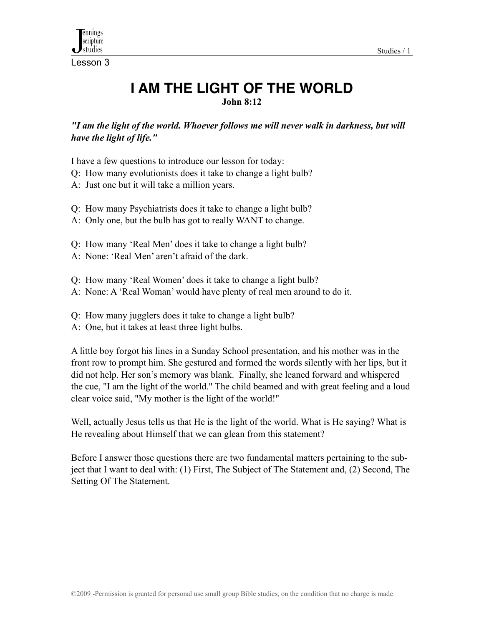

Lesson 3

# **I AM THE LIGHT OF THE WORLD John 8:12**

*"I am the light of the world. Whoever follows me will never walk in darkness, but will have the light of life."* 

I have a few questions to introduce our lesson for today:

- Q: How many evolutionists does it take to change a light bulb?
- A: Just one but it will take a million years.
- Q: How many Psychiatrists does it take to change a light bulb?
- A: Only one, but the bulb has got to really WANT to change.
- Q: How many 'Real Men' does it take to change a light bulb?
- A: None: 'Real Men' aren't afraid of the dark.
- Q: How many 'Real Women' does it take to change a light bulb?
- A: None: A 'Real Woman' would have plenty of real men around to do it.
- Q: How many jugglers does it take to change a light bulb?
- A: One, but it takes at least three light bulbs.

A little boy forgot his lines in a Sunday School presentation, and his mother was in the front row to prompt him. She gestured and formed the words silently with her lips, but it did not help. Her son's memory was blank. Finally, she leaned forward and whispered the cue, "I am the light of the world." The child beamed and with great feeling and a loud clear voice said, "My mother is the light of the world!"

Well, actually Jesus tells us that He is the light of the world. What is He saying? What is He revealing about Himself that we can glean from this statement?

Before I answer those questions there are two fundamental matters pertaining to the subject that I want to deal with: (1) First, The Subject of The Statement and, (2) Second, The Setting Of The Statement.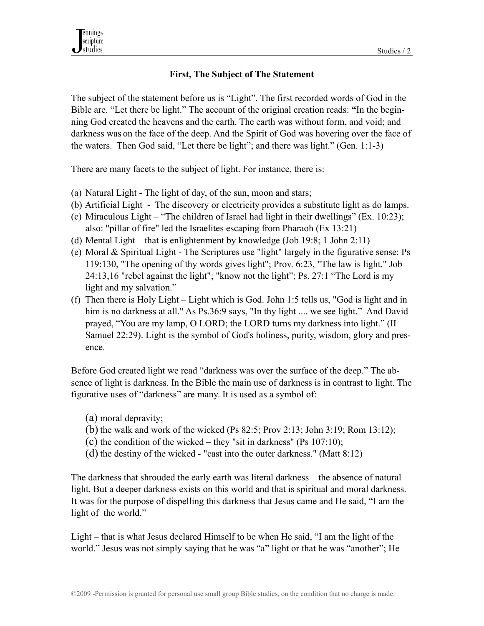#### **First, The Subject of The Statement**

The subject of the statement before us is "Light". The first recorded words of God in the Bible are. "Let there be light." The account of the original creation reads: **"**In the beginning God created the heavens and the earth. The earth was without form, and void; and darkness was on the face of the deep. And the Spirit of God was hovering over the face of the waters. Then God said, "Let there be light"; and there was light." (Gen. 1:1-3)

There are many facets to the subject of light. For instance, there is:

- (a) Natural Light The light of day, of the sun, moon and stars;
- (b) Artificial Light The discovery or electricity provides a substitute light as do lamps.
- (c) Miraculous Light "The children of Israel had light in their dwellings" (Ex. 10:23); also: "pillar of fire" led the Israelites escaping from Pharaoh (Ex 13:21)
- (d) Mental Light that is enlightenment by knowledge (Job 19:8; 1 John 2:11)
- (e) Moral & Spiritual Light The Scriptures use "light" largely in the figurative sense: Ps 119:130, "The opening of thy words gives light"; Prov. 6:23, "The law is light." Job 24:13,16 "rebel against the light"; "know not the light"; Ps. 27:1 "The Lord is my light and my salvation."
- (f) Then there is Holy Light Light which is God. John 1:5 tells us, "God is light and in him is no darkness at all." As Ps.36:9 says, "In thy light .... we see light." And David prayed, "You are my lamp, O LORD; the LORD turns my darkness into light." (II Samuel 22:29). Light is the symbol of God's holiness, purity, wisdom, glory and presence.

Before God created light we read "darkness was over the surface of the deep." The absence of light is darkness. In the Bible the main use of darkness is in contrast to light. The figurative uses of "darkness" are many. It is used as a symbol of:

- (a) moral depravity;
- (b) the walk and work of the wicked (Ps 82:5; Prov 2:13; John 3:19; Rom 13:12);
- (c) the condition of the wicked they "sit in darkness" (Ps  $107:10$ );
- (d) the destiny of the wicked "cast into the outer darkness." (Matt 8:12)

The darkness that shrouded the early earth was literal darkness – the absence of natural light. But a deeper darkness exists on this world and that is spiritual and moral darkness. It was for the purpose of dispelling this darkness that Jesus came and He said, "I am the light of the world."

Light – that is what Jesus declared Himself to be when He said, "I am the light of the world." Jesus was not simply saying that he was "a" light or that he was "another"; He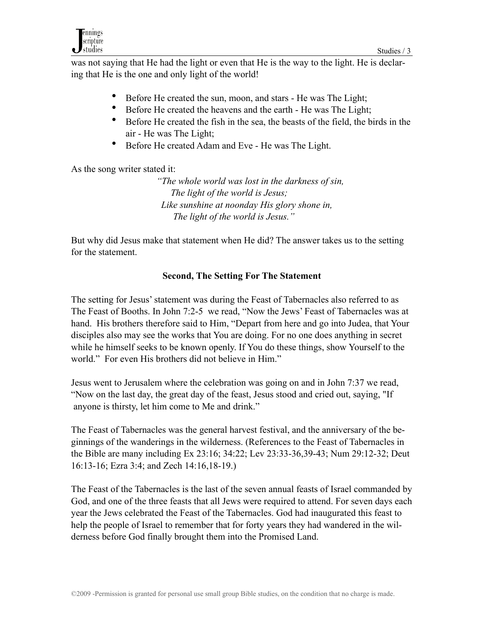was not saying that He had the light or even that He is the way to the light. He is declaring that He is the one and only light of the world!

- Before He created the sun, moon, and stars He was The Light;
- Before He created the heavens and the earth He was The Light;
- Before He created the fish in the sea, the beasts of the field, the birds in the air - He was The Light;
- Before He created Adam and Eve He was The Light.

As the song writer stated it:

 *"The whole world was lost in the darkness of sin, The light of the world is Jesus; Like sunshine at noonday His glory shone in, The light of the world is Jesus."*

But why did Jesus make that statement when He did? The answer takes us to the setting for the statement.

# **Second, The Setting For The Statement**

The setting for Jesus' statement was during the Feast of Tabernacles also referred to as The Feast of Booths. In John 7:2-5 we read, "Now the Jews' Feast of Tabernacles was at hand. His brothers therefore said to Him, "Depart from here and go into Judea, that Your disciples also may see the works that You are doing. For no one does anything in secret while he himself seeks to be known openly. If You do these things, show Yourself to the world." For even His brothers did not believe in Him."

Jesus went to Jerusalem where the celebration was going on and in John 7:37 we read, "Now on the last day, the great day of the feast, Jesus stood and cried out, saying, "If anyone is thirsty, let him come to Me and drink."

The Feast of Tabernacles was the general harvest festival, and the anniversary of the beginnings of the wanderings in the wilderness. (References to the Feast of Tabernacles in the Bible are many including Ex 23:16; 34:22; Lev 23:33-36,39-43; Num 29:12-32; Deut 16:13-16; Ezra 3:4; and Zech 14:16,18-19.)

The Feast of the Tabernacles is the last of the seven annual feasts of Israel commanded by God, and one of the three feasts that all Jews were required to attend. For seven days each year the Jews celebrated the Feast of the Tabernacles. God had inaugurated this feast to help the people of Israel to remember that for forty years they had wandered in the wilderness before God finally brought them into the Promised Land.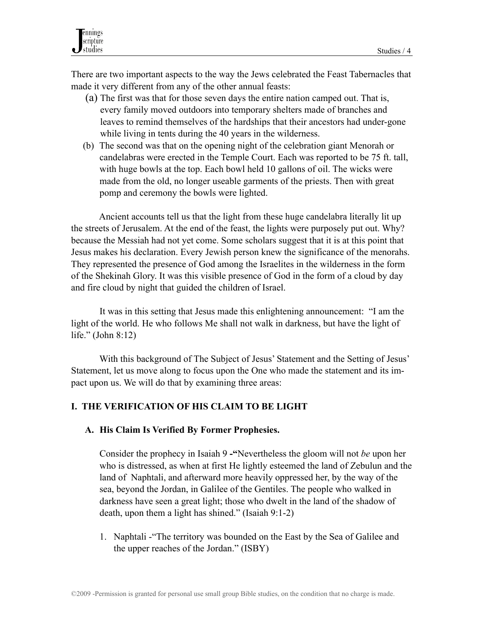There are two important aspects to the way the Jews celebrated the Feast Tabernacles that made it very different from any of the other annual feasts:

- (a) The first was that for those seven days the entire nation camped out. That is, every family moved outdoors into temporary shelters made of branches and leaves to remind themselves of the hardships that their ancestors had under-gone while living in tents during the 40 years in the wilderness.
- (b) The second was that on the opening night of the celebration giant Menorah or candelabras were erected in the Temple Court. Each was reported to be 75 ft. tall, with huge bowls at the top. Each bowl held 10 gallons of oil. The wicks were made from the old, no longer useable garments of the priests. Then with great pomp and ceremony the bowls were lighted.

 Ancient accounts tell us that the light from these huge candelabra literally lit up the streets of Jerusalem. At the end of the feast, the lights were purposely put out. Why? because the Messiah had not yet come. Some scholars suggest that it is at this point that Jesus makes his declaration. Every Jewish person knew the significance of the menorahs. They represented the presence of God among the Israelites in the wilderness in the form of the Shekinah Glory. It was this visible presence of God in the form of a cloud by day and fire cloud by night that guided the children of Israel.

 It was in this setting that Jesus made this enlightening announcement: "I am the light of the world. He who follows Me shall not walk in darkness, but have the light of life." (John 8:12)

 With this background of The Subject of Jesus' Statement and the Setting of Jesus' Statement, let us move along to focus upon the One who made the statement and its impact upon us. We will do that by examining three areas:

#### **I. THE VERIFICATION OF HIS CLAIM TO BE LIGHT**

#### **A. His Claim Is Verified By Former Prophesies.**

Consider the prophecy in Isaiah 9 **-"**Nevertheless the gloom will not *be* upon her who is distressed, as when at first He lightly esteemed the land of Zebulun and the land of Naphtali, and afterward more heavily oppressed her, by the way of the sea, beyond the Jordan, in Galilee of the Gentiles. The people who walked in darkness have seen a great light; those who dwelt in the land of the shadow of death, upon them a light has shined." (Isaiah 9:1-2)

 1. Naphtali -"The territory was bounded on the East by the Sea of Galilee and the upper reaches of the Jordan." (ISBY)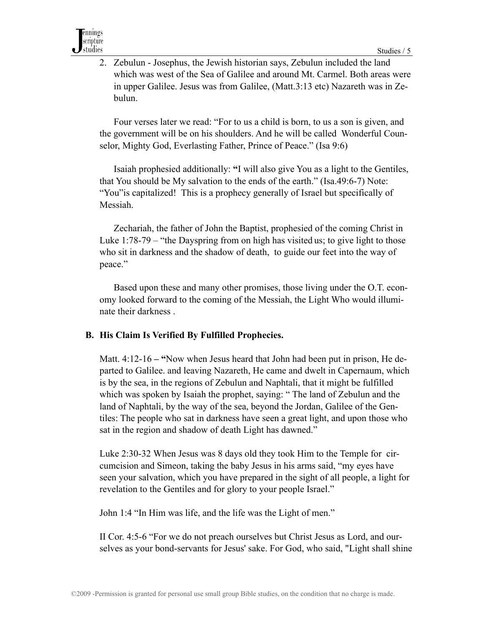2. Zebulun - Josephus, the Jewish historian says, Zebulun included the land which was west of the Sea of Galilee and around Mt. Carmel. Both areas were in upper Galilee. Jesus was from Galilee, (Matt.3:13 etc) Nazareth was in Zebulun.

 Four verses later we read: "For to us a child is born, to us a son is given, and the government will be on his shoulders. And he will be called Wonderful Counselor, Mighty God, Everlasting Father, Prince of Peace." (Isa 9:6)

Isaiah prophesied additionally: **"**I will also give You as a light to the Gentiles, that You should be My salvation to the ends of the earth." (Isa.49:6-7) Note: "You"is capitalized!This is a prophecy generally of Israel but specifically of Messiah.

Zechariah, the father of John the Baptist, prophesied of the coming Christ in Luke 1:78-79 – "the Dayspring from on high has visited us; to give light to those who sit in darkness and the shadow of death, to guide our feet into the way of peace."

 Based upon these and many other promises, those living under the O.T. economy looked forward to the coming of the Messiah, the Light Who would illuminate their darkness .

#### **B. His Claim Is Verified By Fulfilled Prophecies.**

Matt. 4:12-16 **– "**Now when Jesus heard that John had been put in prison, He departed to Galilee. and leaving Nazareth, He came and dwelt in Capernaum, which is by the sea, in the regions of Zebulun and Naphtali, that it might be fulfilled which was spoken by Isaiah the prophet, saying: " The land of Zebulun and the land of Naphtali, by the way of the sea, beyond the Jordan, Galilee of the Gentiles: The people who sat in darkness have seen a great light, and upon those who sat in the region and shadow of death Light has dawned."

 Luke 2:30-32 When Jesus was 8 days old they took Him to the Temple for circumcision and Simeon, taking the baby Jesus in his arms said, "my eyes have seen your salvation, which you have prepared in the sight of all people, a light for revelation to the Gentiles and for glory to your people Israel."

John 1:4 "In Him was life, and the life was the Light of men."

 II Cor. 4:5-6 "For we do not preach ourselves but Christ Jesus as Lord, and ourselves as your bond-servants for Jesus' sake. For God, who said, "Light shall shine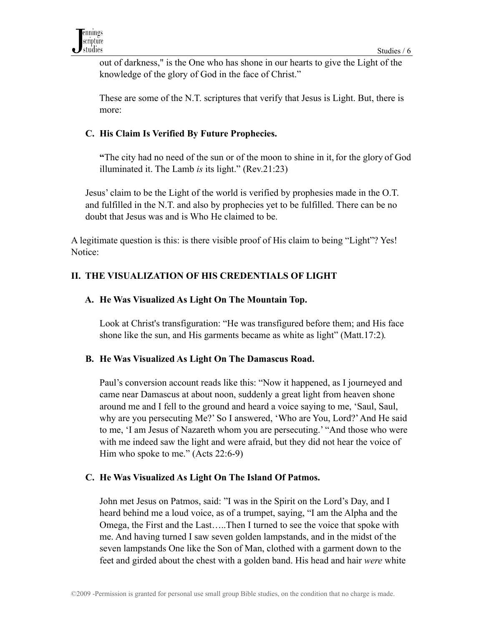out of darkness," is the One who has shone in our hearts to give the Light of the knowledge of the glory of God in the face of Christ."

 These are some of the N.T. scriptures that verify that Jesus is Light. But, there is more:

# **C. His Claim Is Verified By Future Prophecies.**

 **"**The city had no need of the sun or of the moon to shine in it,for the glory of God illuminated it. The Lamb *is* its light." (Rev.21:23)

 Jesus' claim to be the Light of the world is verified by prophesies made in the O.T. and fulfilled in the N.T. and also by prophecies yet to be fulfilled. There can be no doubt that Jesus was and is Who He claimed to be.

A legitimate question is this: is there visible proof of His claim to being "Light"? Yes! Notice:

# **II. THE VISUALIZATION OF HIS CREDENTIALS OF LIGHT**

# **A. He Was Visualized As Light On The Mountain Top.**

 Look at Christ's transfiguration: "He was transfigured before them; and His face shone like the sun, and His garments became as white as light" (Matt.17:2)*.* 

#### **B. He Was Visualized As Light On The Damascus Road.**

 Paul's conversion account reads like this: "Now it happened, as I journeyed and came near Damascus at about noon, suddenly a great light from heaven shone around me and I fell to the ground and heard a voice saying to me, 'Saul, Saul, why are you persecuting Me?' So I answered, 'Who are You, Lord?' And He said to me, 'I am Jesus of Nazareth whom you are persecuting.' "And those who were with me indeed saw the light and were afraid, but they did not hear the voice of Him who spoke to me." (Acts 22:6-9)

#### **C. He Was Visualized As Light On The Island Of Patmos.**

John met Jesus on Patmos, said: "I was in the Spirit on the Lord's Day, and I heard behind me a loud voice, as of a trumpet, saying, "I am the Alpha and the Omega, the First and the Last…..Then I turned to see the voice that spoke with me. And having turned I saw seven golden lampstands, and in the midst of the seven lampstands One like the Son of Man, clothed with a garment down to the feet and girded about the chest with a golden band. His head and hair *were* white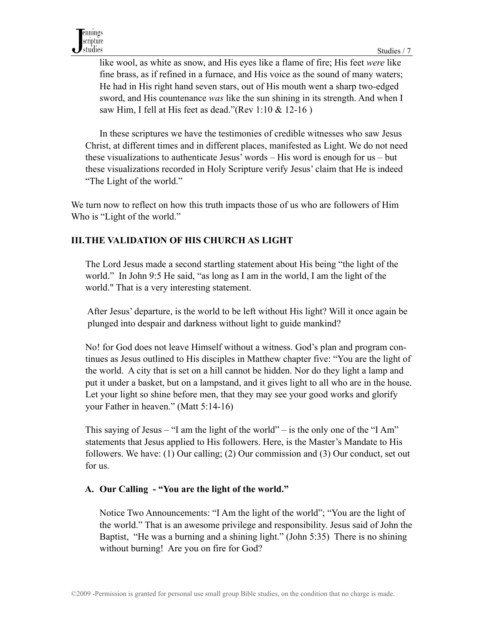like wool, as white as snow, and His eyes like a flame of fire; His feet *were* like fine brass, as if refined in a furnace, and His voice as the sound of many waters; He had in His right hand seven stars, out of His mouth went a sharp two-edged sword, and His countenance *was* like the sun shining in its strength. And when I saw Him, I fell at His feet as dead."(Rev 1:10 & 12-16 )

 In these scriptures we have the testimonies of credible witnesses who saw Jesus Christ, at different times and in different places, manifested as Light. We do not need these visualizations to authenticate Jesus' words – His word is enough for us – but these visualizations recorded in Holy Scripture verify Jesus' claim that He is indeed "The Light of the world."

We turn now to reflect on how this truth impacts those of us who are followers of Him Who is "Light of the world."

# **III. THE VALIDATION OF HIS CHURCH AS LIGHT**

The Lord Jesus made a second startling statement about His being "the light of the world." In John 9:5 He said, "as long as I am in the world, I am the light of the world." That is a very interesting statement.

 After Jesus' departure, is the world to be left without His light? Will it once again be plunged into despair and darkness without light to guide mankind?

 No! for God does not leave Himself without a witness. God's plan and program continues as Jesus outlined to His disciples in Matthew chapter five: "You are the light of the world. A city that is set on a hill cannot be hidden. Nor do they light a lamp and put it under a basket, but on a lampstand, and it gives light to all who are in the house. Let your light so shine before men, that they may see your good works and glorify your Father in heaven." (Matt 5:14-16)

 This saying of Jesus – "I am the light of the world" – is the only one of the "I Am" statements that Jesus applied to His followers. Here, is the Master's Mandate to His followers. We have: (1) Our calling; (2) Our commission and (3) Our conduct, set out for us.

# **A. Our Calling - "You are the light of the world."**

Notice Two Announcements: "I Am the light of the world"; "You are the light of the world." That is an awesome privilege and responsibility. Jesus said of John the Baptist, "He was a burning and a shining light." (John 5:35) There is no shining without burning! Are you on fire for God?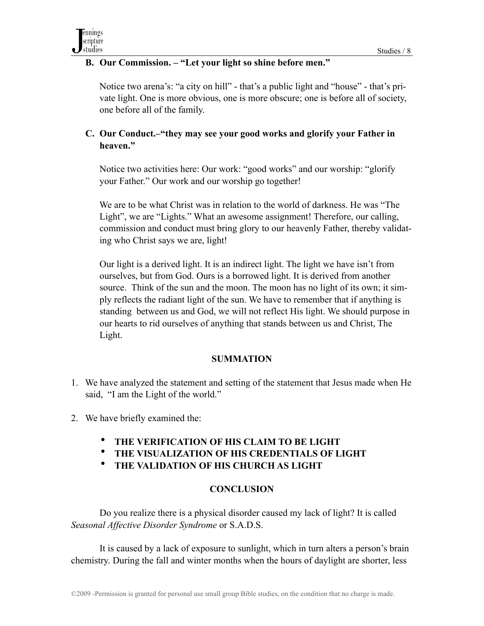# **B. Our Commission. – "Let your light so shine before men."**

 Notice two arena's: "a city on hill" - that's a public light and "house" - that's private light. One is more obvious, one is more obscure; one is before all of society, one before all of the family.

# **C. Our Conduct.–"they may see your good works and glorify your Father in heaven."**

Notice two activities here: Our work: "good works" and our worship: "glorify your Father." Our work and our worship go together!

 We are to be what Christ was in relation to the world of darkness. He was "The Light", we are "Lights." What an awesome assignment! Therefore, our calling, commission and conduct must bring glory to our heavenly Father, thereby validating who Christ says we are, light!

 Our light is a derived light. It is an indirect light. The light we have isn't from ourselves, but from God. Ours is a borrowed light. It is derived from another source. Think of the sun and the moon. The moon has no light of its own; it simply reflects the radiant light of the sun. We have to remember that if anything is standing between us and God, we will not reflect His light. We should purpose in our hearts to rid ourselves of anything that stands between us and Christ, The Light.

#### **SUMMATION**

- 1. We have analyzed the statement and setting of the statement that Jesus made when He said, "I am the Light of the world."
- 2. We have briefly examined the:
	- **THE VERIFICATION OF HIS CLAIM TO BE LIGHT**
	- **THE VISUALIZATION OF HIS CREDENTIALS OF LIGHT**
	- **THE VALIDATION OF HIS CHURCH AS LIGHT**

# **CONCLUSION**

Do you realize there is a physical disorder caused my lack of light? It is called *Seasonal Affective Disorder Syndrome* or S.A.D.S.

 It is caused by a lack of exposure to sunlight, which in turn alters a person's brain chemistry. During the fall and winter months when the hours of daylight are shorter, less